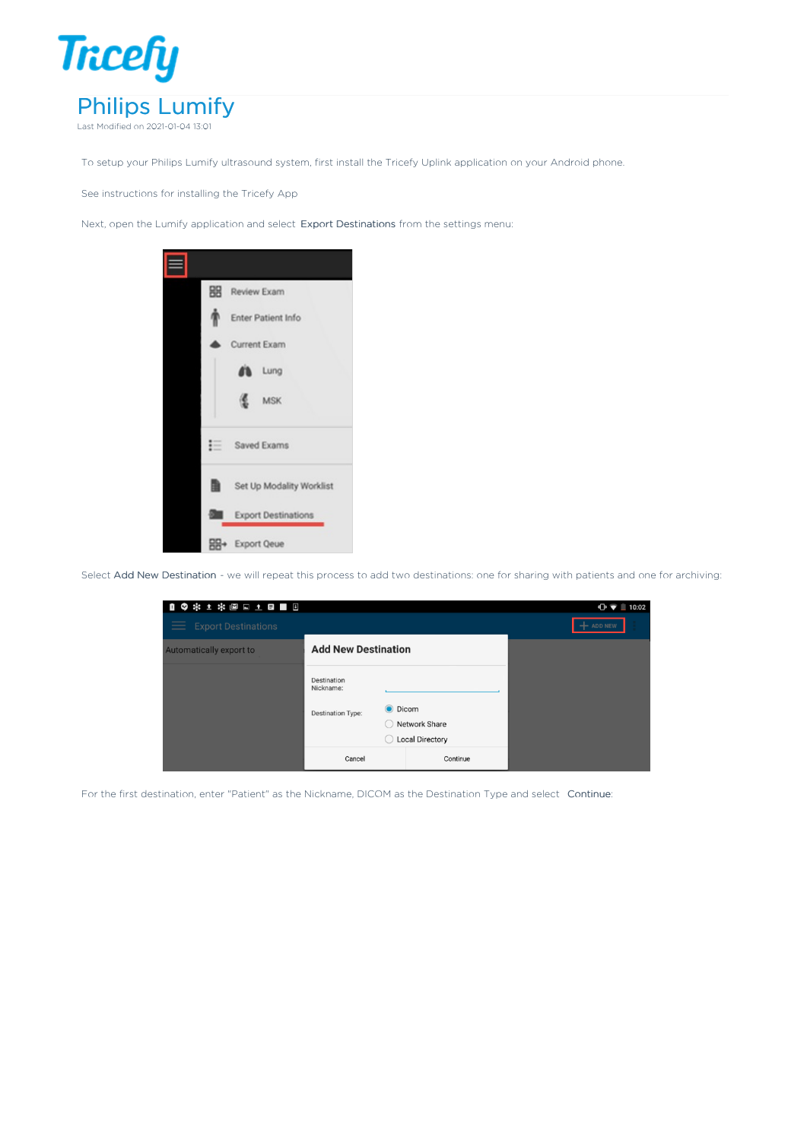

To setup your Philips Lumify ultrasound system, first install the Tricefy Uplink application on your Android phone.

See instructions for installing the Tricefy App

Next, open the Lumify application and select Export Destinations from the settings menu:



Select Add New Destination - we will repeat this process to add two destinations: one for sharing with patients and one for archiving:

| 19 * 1 * @ & 1 B B B         |                            |                |          | $\bigoplus$ $\bigcirc$ 10:02 |
|------------------------------|----------------------------|----------------|----------|------------------------------|
| $\equiv$ Export Destinations |                            |                |          | $+$ ADD NEW                  |
| Automatically export to      | <b>Add New Destination</b> |                |          |                              |
|                              | Destination<br>Nickname:   |                |          |                              |
|                              | <b>Destination Type:</b>   | <b>O</b> Dicom |          |                              |
|                              |                            | Network Share  |          |                              |
|                              | <b>Local Directory</b>     |                |          |                              |
|                              | Cancel                     |                | Continue |                              |

For the first destination, enter "Patient" as the Nickname, DICOM as the Destination Type and select Continue: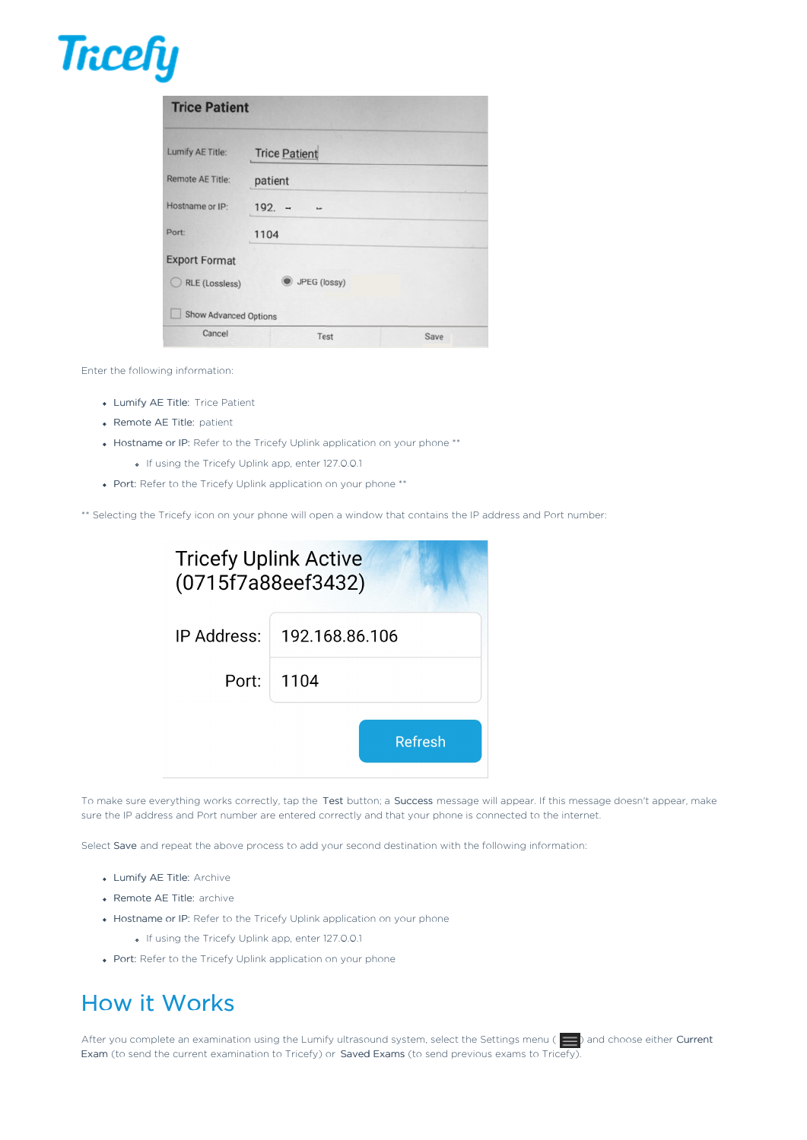

| Lumify AE Title:     | <b>Trice Patient</b> |  |
|----------------------|----------------------|--|
| Remote AE Title:     | patient              |  |
| Hostname or IP:      | $192 - -$<br>tor.    |  |
| Port:                | 1104                 |  |
| <b>Export Format</b> |                      |  |
| RLE (Lossless)       | JPEG (lossy)         |  |

Enter the following information:

- Lumify AE Title: Trice Patient
- Remote AE Title: patient
- Hostname or IP: Refer to the Tricefy Uplink application on your phone \*\*
	- o If using the Tricefy Uplink app, enter 127.0.0.1
- Port: Refer to the Tricefy Uplink application on your phone \*\*

\*\* Selecting the Tricefy icon on your phone will open a window that contains the IP address and Port number:

| <b>Tricefy Uplink Active</b><br>(0715f7a88eef3432) |                              |
|----------------------------------------------------|------------------------------|
|                                                    | IP Address:   192.168.86.106 |
|                                                    | Port: 1104                   |
|                                                    | Refresh                      |

To make sure everything works correctly, tap the Test button; a Success message will appear. If this message doesn't appear, make sure the IP address and Port number are entered correctly and that your phone is connected to the internet.

Select Save and repeat the above process to add your second destination with the following information:

- Lumify AE Title: Archive
- Remote AE Title: archive
- Hostname or IP: Refer to the Tricefy Uplink application on your phone
	- o If using the Tricefy Uplink app, enter 127.0.0.1
- Port: Refer to the Tricefy Uplink application on your phone

## How it Works

After you complete an examination using the Lumify ultrasound system, select the Settings menu ( $\Box$ ) and choose either Current Exam (to send the current examination to Tricefy) or Saved Exams (to send previous exams to Tricefy).